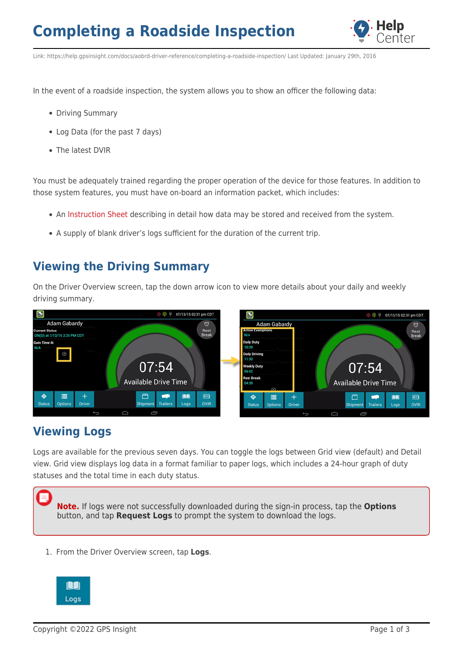

Link: https://help.gpsinsight.com/docs/aobrd-driver-reference/completing-a-roadside-inspection/ Last Updated: January 29th, 2016

In the event of a roadside inspection, the system allows you to show an officer the following data:

- Driving Summary
- Log Data (for the past 7 days)
- The latest DVIR

You must be adequately trained regarding the proper operation of the device for those features. In addition to those system features, you must have on-board an information packet, which includes:

- An [Instruction Sheet](https://help.gpsinsight.com/wp-content/uploads/2015/12/incab-instruction-sheet.pdf) describing in detail how data may be stored and received from the system.
- A supply of blank driver's logs sufficient for the duration of the current trip.

### **Viewing the Driving Summary**

On the Driver Overview screen, tap the down arrow icon to view more details about your daily and weekly driving summary.



### **Viewing Logs**

Logs are available for the previous seven days. You can toggle the logs between Grid view (default) and Detail view. Grid view displays log data in a format familiar to paper logs, which includes a 24-hour graph of duty statuses and the total time in each duty status.



1. From the Driver Overview screen, tap **Logs**.

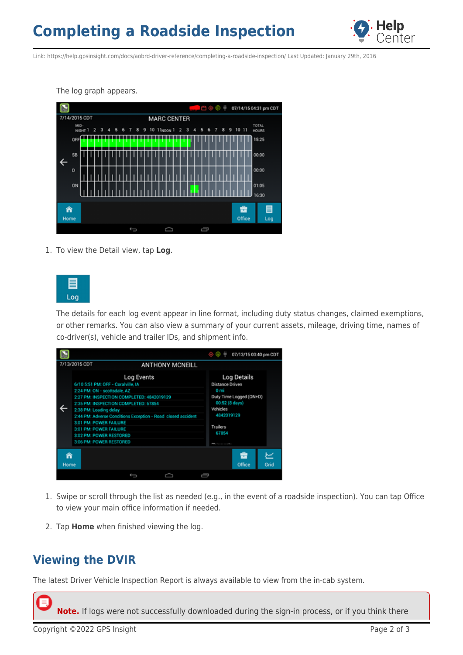# **Completing a Roadside Inspection**



Link: https://help.gpsinsight.com/docs/aobrd-driver-reference/completing-a-roadside-inspection/ Last Updated: January 29th, 2016

The log graph appears.



1. To view the Detail view, tap **Log**.



The details for each log event appear in line format, including duty status changes, claimed exemptions, or other remarks. You can also view a summary of your current assets, mileage, driving time, names of co-driver(s), vehicle and trailer IDs, and shipment info.



- 1. Swipe or scroll through the list as needed (e.g., in the event of a roadside inspection). You can tap Office to view your main office information if needed.
- 2. Tap **Home** when finished viewing the log.

### **Viewing the DVIR**

The latest Driver Vehicle Inspection Report is always available to view from the in-cab system.

**Note.** If logs were not successfully downloaded during the sign-in process, or if you think there